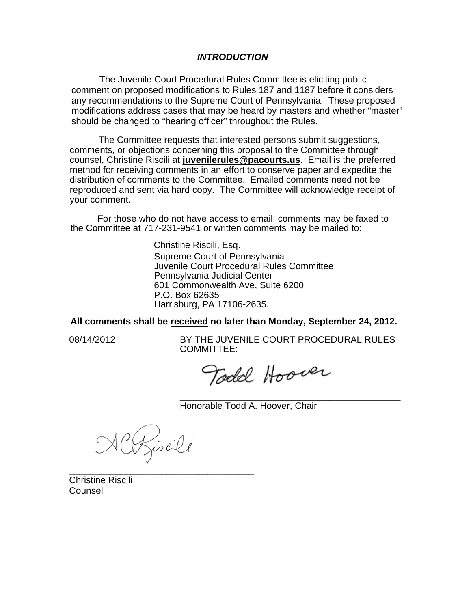### *INTRODUCTION*

The Juvenile Court Procedural Rules Committee is eliciting public comment on proposed modifications to Rules 187 and 1187 before it considers any recommendations to the Supreme Court of Pennsylvania. These proposed modifications address cases that may be heard by masters and whether "master" should be changed to "hearing officer" throughout the Rules.

The Committee requests that interested persons submit suggestions, comments, or objections concerning this proposal to the Committee through counsel, Christine Riscili at **juvenilerules@pacourts.us**. Email is the preferred method for receiving comments in an effort to conserve paper and expedite the distribution of comments to the Committee. Emailed comments need not be reproduced and sent via hard copy. The Committee will acknowledge receipt of your comment.

 For those who do not have access to email, comments may be faxed to the Committee at 717-231-9541 or written comments may be mailed to:

> Christine Riscili, Esq. Supreme Court of Pennsylvania Juvenile Court Procedural Rules Committee Pennsylvania Judicial Center 601 Commonwealth Ave, Suite 6200 P.O. Box 62635 Harrisburg, PA 17106-2635.

**All comments shall be received no later than Monday, September 24, 2012.** 

I

08/14/2012 BY THE JUVENILE COURT PROCEDURAL RULES COMMITTEE:

**\_\_\_\_\_\_\_\_\_\_\_\_\_\_\_\_\_\_\_\_\_\_\_\_\_\_\_\_\_\_\_\_\_\_\_\_\_\_\_\_\_\_\_** 

Todd Hoover

Honorable Todd A. Hoover, Chair

Riseli \_\_\_\_\_\_\_\_\_\_\_\_\_\_\_\_\_\_\_\_\_\_\_\_\_\_\_\_\_\_\_\_\_\_\_\_

Christine Riscili Counsel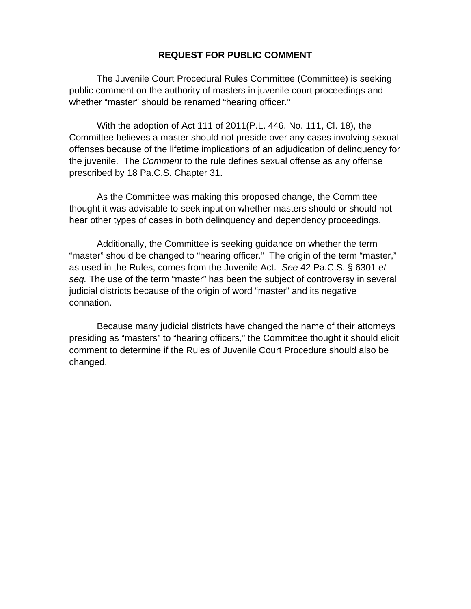## **REQUEST FOR PUBLIC COMMENT**

The Juvenile Court Procedural Rules Committee (Committee) is seeking public comment on the authority of masters in juvenile court proceedings and whether "master" should be renamed "hearing officer."

With the adoption of Act 111 of 2011(P.L. 446, No. 111, Cl. 18), the Committee believes a master should not preside over any cases involving sexual offenses because of the lifetime implications of an adjudication of delinquency for the juvenile. The *Comment* to the rule defines sexual offense as any offense prescribed by 18 Pa.C.S. Chapter 31.

As the Committee was making this proposed change, the Committee thought it was advisable to seek input on whether masters should or should not hear other types of cases in both delinquency and dependency proceedings.

Additionally, the Committee is seeking guidance on whether the term "master" should be changed to "hearing officer." The origin of the term "master," as used in the Rules, comes from the Juvenile Act. *See* 42 Pa.C.S. § 6301 *et seq.* The use of the term "master" has been the subject of controversy in several judicial districts because of the origin of word "master" and its negative connation.

Because many judicial districts have changed the name of their attorneys presiding as "masters" to "hearing officers," the Committee thought it should elicit comment to determine if the Rules of Juvenile Court Procedure should also be changed.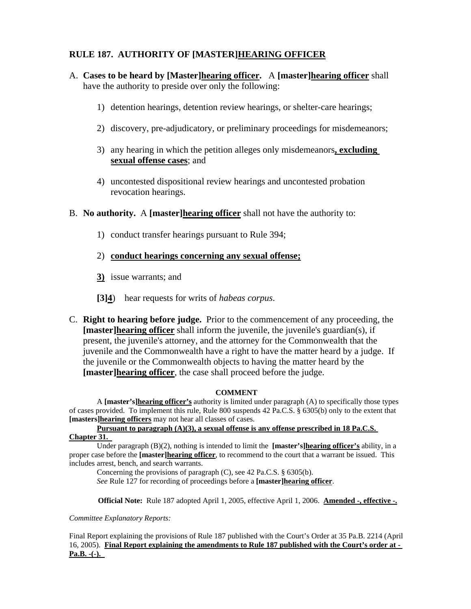# **RULE 187. AUTHORITY OF [MASTER]HEARING OFFICER**

- A. **Cases to be heard by [Master]hearing officer.** A **[master]hearing officer** shall have the authority to preside over only the following:
	- 1) detention hearings, detention review hearings, or shelter-care hearings;
	- 2) discovery, pre-adjudicatory, or preliminary proceedings for misdemeanors;
	- 3) any hearing in which the petition alleges only misdemeanors**, excluding sexual offense cases**; and
	- 4) uncontested dispositional review hearings and uncontested probation revocation hearings.
- B. **No authority.** A **[master]hearing officer** shall not have the authority to:
	- 1) conduct transfer hearings pursuant to Rule 394;
	- 2) **conduct hearings concerning any sexual offense;**
	- **3)** issue warrants; and
	- **[3]4**) hear requests for writs of *habeas corpus*.
- C. **Right to hearing before judge.** Prior to the commencement of any proceeding, the **[master]hearing officer** shall inform the juvenile, the juvenile's guardian(s), if present, the juvenile's attorney, and the attorney for the Commonwealth that the juvenile and the Commonwealth have a right to have the matter heard by a judge. If the juvenile or the Commonwealth objects to having the matter heard by the **[master]hearing officer**, the case shall proceed before the judge.

#### **COMMENT**

A **[master's]hearing officer's** authority is limited under paragraph (A) to specifically those types of cases provided. To implement this rule, Rule 800 suspends 42 Pa.C.S. § 6305(b) only to the extent that **[masters]hearing officers** may not hear all classes of cases.

**Pursuant to paragraph (A)(3), a sexual offense is any offense prescribed in 18 Pa.C.S. Chapter 31.** 

Under paragraph (B)(2), nothing is intended to limit the **[master's]hearing officer's** ability, in a proper case before the **[master]hearing officer**, to recommend to the court that a warrant be issued. This includes arrest, bench, and search warrants.

Concerning the provisions of paragraph (C), see 42 Pa.C.S. § 6305(b).

*See* Rule 127 for recording of proceedings before a **[master]hearing officer**.

**Official Note:** Rule 187 adopted April 1, 2005, effective April 1, 2006. **Amended -, effective -.** 

*Committee Explanatory Reports:* 

Final Report explaining the provisions of Rule 187 published with the Court's Order at 35 Pa.B. 2214 (April 16, 2005). **Final Report explaining the amendments to Rule 187 published with the Court's order at - Pa.B. -(-).**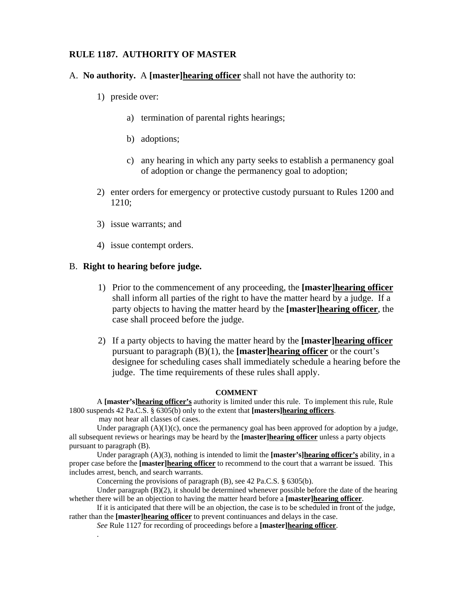#### **RULE 1187. AUTHORITY OF MASTER**

- A. **No authority.** A **[master]hearing officer** shall not have the authority to:
	- 1) preside over:
		- a) termination of parental rights hearings;
		- b) adoptions;
		- c) any hearing in which any party seeks to establish a permanency goal of adoption or change the permanency goal to adoption;
	- 2) enter orders for emergency or protective custody pursuant to Rules 1200 and 1210;
	- 3) issue warrants; and
	- 4) issue contempt orders.

### B. **Right to hearing before judge.**

- 1) Prior to the commencement of any proceeding, the **[master]hearing officer** shall inform all parties of the right to have the matter heard by a judge. If a party objects to having the matter heard by the **[master]hearing officer**, the case shall proceed before the judge.
- 2) If a party objects to having the matter heard by the **[master]hearing officer** pursuant to paragraph (B)(1), the **[master]hearing officer** or the court's designee for scheduling cases shall immediately schedule a hearing before the judge. The time requirements of these rules shall apply.

#### **COMMENT**

A **[master's]hearing officer's** authority is limited under this rule. To implement this rule, Rule 1800 suspends 42 Pa.C.S. § 6305(b) only to the extent that **[masters]hearing officers**.

may not hear all classes of cases.

.

Under paragraph  $(A)(1)(c)$ , once the permanency goal has been approved for adoption by a judge, all subsequent reviews or hearings may be heard by the **[master]hearing officer** unless a party objects pursuant to paragraph (B).

Under paragraph (A)(3), nothing is intended to limit the **[master's]hearing officer's** ability, in a proper case before the **[master]hearing officer** to recommend to the court that a warrant be issued. This includes arrest, bench, and search warrants.

Concerning the provisions of paragraph (B), see 42 Pa.C.S. § 6305(b).

Under paragraph  $(B)(2)$ , it should be determined whenever possible before the date of the hearing whether there will be an objection to having the matter heard before a **[master]hearing officer**.

If it is anticipated that there will be an objection, the case is to be scheduled in front of the judge, rather than the **[master]hearing officer** to prevent continuances and delays in the case.

*See* Rule 1127 for recording of proceedings before a **[master]hearing officer**.